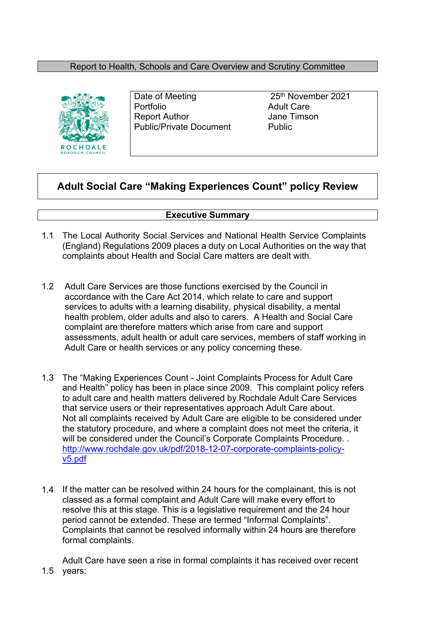### Report to Health, Schools and Care Overview and Scrutiny Committee



Portfolio **Adult Care** Report Author **In the Search Strutter Control** Jane Timson Public/Private Document Public

Date of Meeting 25<sup>th</sup> November 2021

# **Adult Social Care "Making Experiences Count" policy Review**

### **Executive Summary**

- 1.1 The Local Authority Social Services and National Health Service Complaints (England) Regulations 2009 places a duty on Local Authorities on the way that complaints about Health and Social Care matters are dealt with.
- 1.2 Adult Care Services are those functions exercised by the Council in accordance with the Care Act 2014, which relate to care and support services to adults with a learning disability, physical disability, a mental health problem, older adults and also to carers. A Health and Social Care complaint are therefore matters which arise from care and support assessments, adult health or adult care services, members of staff working in Adult Care or health services or any policy concerning these.
- 1.3 The "Making Experiences Count Joint Complaints Process for Adult Care and Health" policy has been in place since 2009. This complaint policy refers to adult care and health matters delivered by Rochdale Adult Care Services that service users or their representatives approach Adult Care about. Not all complaints received by Adult Care are eligible to be considered under the statutory procedure, and where a complaint does not meet the criteria, it will be considered under the Council's Corporate Complaints Procedure... [http://www.rochdale.gov.uk/pdf/2018-12-07-corporate-complaints-policy](http://www.rochdale.gov.uk/pdf/2018-12-07-corporate-complaints-policy-v5.pdf)[v5.pdf](http://www.rochdale.gov.uk/pdf/2018-12-07-corporate-complaints-policy-v5.pdf)
- 1.4 If the matter can be resolved within 24 hours for the complainant, this is not classed as a formal complaint and Adult Care will make every effort to resolve this at this stage. This is a legislative requirement and the 24 hour period cannot be extended. These are termed "Informal Complaints". Complaints that cannot be resolved informally within 24 hours are therefore formal complaints.

1.5 years:Adult Care have seen a rise in formal complaints it has received over recent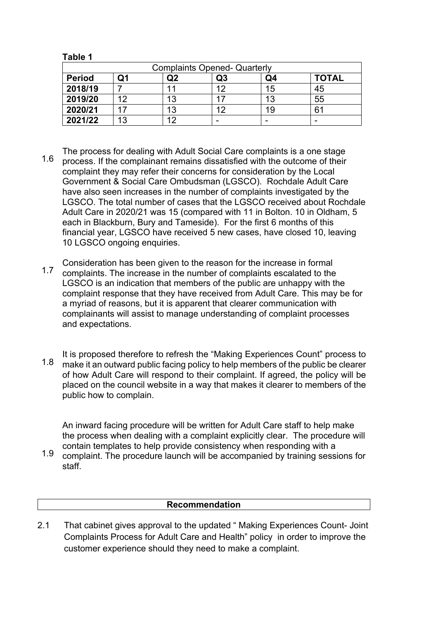**Table 1**

| <b>Complaints Opened- Quarterly</b> |    |    |    |    |              |  |
|-------------------------------------|----|----|----|----|--------------|--|
| <b>Period</b>                       | Q1 | Q2 | Q3 | Q4 | <b>TOTAL</b> |  |
| 2018/19                             |    |    | 12 | 15 | 45           |  |
| 2019/20                             | ィク | 13 |    | 13 | 55           |  |
| 2020/21                             | 17 | 13 | 12 | 19 | 61           |  |
| 2021/22                             | 13 | 1つ | -  |    |              |  |

- 1.6 The process for dealing with Adult Social Care complaints is a one stage process. If the complainant remains dissatisfied with the outcome of their complaint they may refer their concerns for consideration by the Local Government & Social Care Ombudsman (LGSCO). Rochdale Adult Care have also seen increases in the number of complaints investigated by the LGSCO. The total number of cases that the LGSCO received about Rochdale Adult Care in 2020/21 was 15 (compared with 11 in Bolton. 10 in Oldham, 5 each in Blackburn, Bury and Tameside). For the first 6 months of this financial year, LGSCO have received 5 new cases, have closed 10, leaving 10 LGSCO ongoing enquiries.
- 1.7 Consideration has been given to the reason for the increase in formal complaints. The increase in the number of complaints escalated to the LGSCO is an indication that members of the public are unhappy with the complaint response that they have received from Adult Care. This may be for a myriad of reasons, but it is apparent that clearer communication with complainants will assist to manage understanding of complaint processes and expectations.
- 1.8 It is proposed therefore to refresh the "Making Experiences Count" process to make it an outward public facing policy to help members of the public be clearer of how Adult Care will respond to their complaint. If agreed, the policy will be placed on the council website in a way that makes it clearer to members of the public how to complain.

An inward facing procedure will be written for Adult Care staff to help make the process when dealing with a complaint explicitly clear. The procedure will contain templates to help provide consistency when responding with a

1.9 complaint. The procedure launch will be accompanied by training sessions for staff.

### **Recommendation**

2.1 That cabinet gives approval to the updated " Making Experiences Count- Joint Complaints Process for Adult Care and Health" policy in order to improve the customer experience should they need to make a complaint.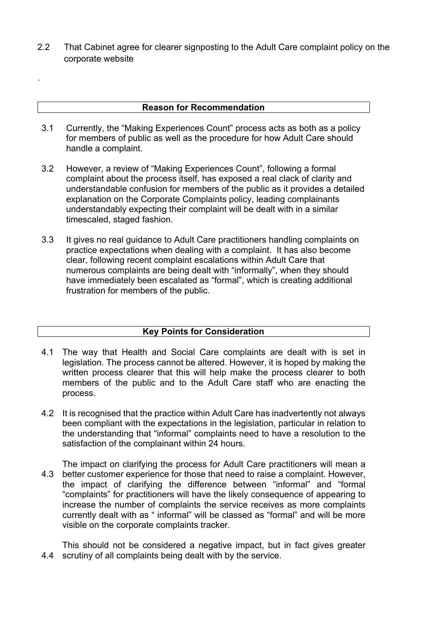2.2 That Cabinet agree for clearer signposting to the Adult Care complaint policy on the corporate website

#### **Reason for Recommendation**

.

- 3.1 Currently, the "Making Experiences Count" process acts as both as a policy for members of public as well as the procedure for how Adult Care should handle a complaint.
- 3.2 However, a review of "Making Experiences Count", following a formal complaint about the process itself, has exposed a real clack of clarity and understandable confusion for members of the public as it provides a detailed explanation on the Corporate Complaints policy, leading complainants understandably expecting their complaint will be dealt with in a similar timescaled, staged fashion.
- 3.3 It gives no real guidance to Adult Care practitioners handling complaints on practice expectations when dealing with a complaint. It has also become clear, following recent complaint escalations within Adult Care that numerous complaints are being dealt with "informally", when they should have immediately been escalated as "formal", which is creating additional frustration for members of the public.

## **Key Points for Consideration**

- 4.1 The way that Health and Social Care complaints are dealt with is set in legislation. The process cannot be altered. However, it is hoped by making the written process clearer that this will help make the process clearer to both members of the public and to the Adult Care staff who are enacting the process.
- 4.2 It is recognised that the practice within Adult Care has inadvertently not always been compliant with the expectations in the legislation, particular in relation to the understanding that "informal" complaints need to have a resolution to the satisfaction of the complainant within 24 hours.
- 4.3 The impact on clarifying the process for Adult Care practitioners will mean a better customer experience for those that need to raise a complaint. However, the impact of clarifying the difference between "informal" and "formal "complaints" for practitioners will have the likely consequence of appearing to increase the number of complaints the service receives as more complaints currently dealt with as " informal" will be classed as "formal" and will be more visible on the corporate complaints tracker.

4.4 scrutiny of all complaints being dealt with by the service.This should not be considered a negative impact, but in fact gives greater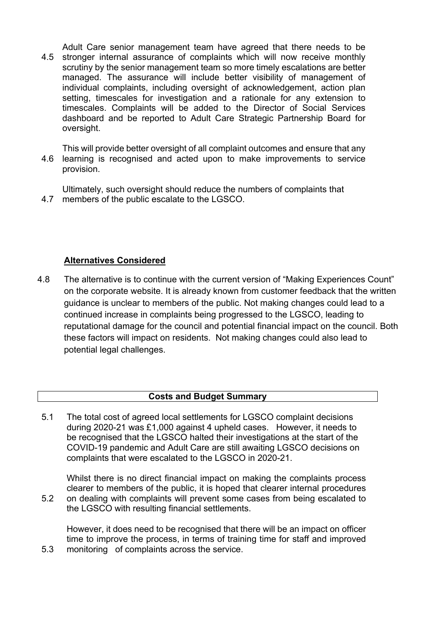4.5 Adult Care senior management team have agreed that there needs to be stronger internal assurance of complaints which will now receive monthly scrutiny by the senior management team so more timely escalations are better managed. The assurance will include better visibility of management of individual complaints, including oversight of acknowledgement, action plan setting, timescales for investigation and a rationale for any extension to timescales. Complaints will be added to the Director of Social Services dashboard and be reported to Adult Care Strategic Partnership Board for oversight.

4.6 This will provide better oversight of all complaint outcomes and ensure that any learning is recognised and acted upon to make improvements to service provision.

4.7 members of the public escalate to the LGSCO. Ultimately, such oversight should reduce the numbers of complaints that

## **Alternatives Considered**

5.3

4.8 The alternative is to continue with the current version of "Making Experiences Count" on the corporate website. It is already known from customer feedback that the written guidance is unclear to members of the public. Not making changes could lead to a continued increase in complaints being progressed to the LGSCO, leading to reputational damage for the council and potential financial impact on the council. Both these factors will impact on residents. Not making changes could also lead to potential legal challenges.

### **Costs and Budget Summary**

5.1 The total cost of agreed local settlements for LGSCO complaint decisions during 2020-21 was £1,000 against 4 upheld cases. However, it needs to be recognised that the LGSCO halted their investigations at the start of the COVID-19 pandemic and Adult Care are still awaiting LGSCO decisions on complaints that were escalated to the LGSCO in 2020-21.

5.2 Whilst there is no direct financial impact on making the complaints process clearer to members of the public, it is hoped that clearer internal procedures on dealing with complaints will prevent some cases from being escalated to the LGSCO with resulting financial settlements.

However, it does need to be recognised that there will be an impact on officer time to improve the process, in terms of training time for staff and improved monitoring of complaints across the service.